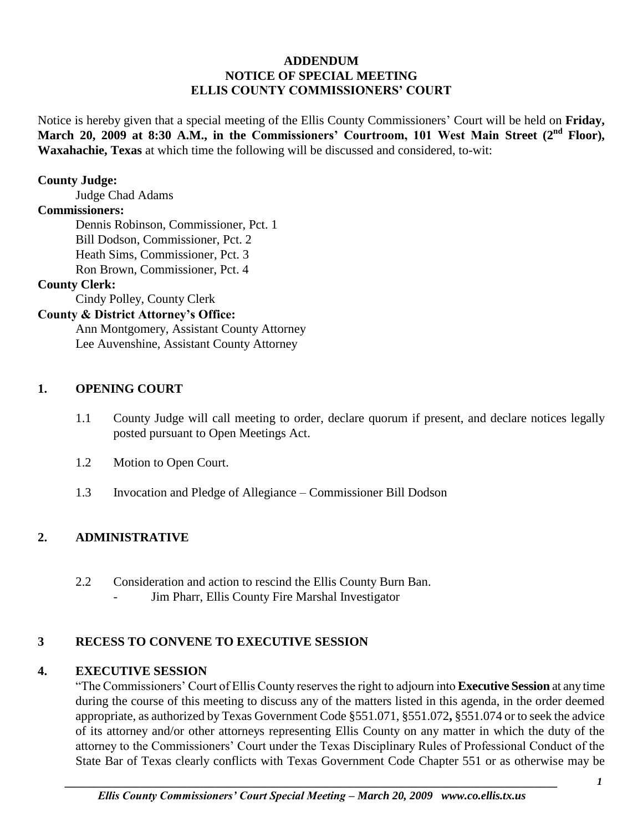# **ADDENDUM NOTICE OF SPECIAL MEETING ELLIS COUNTY COMMISSIONERS' COURT**

Notice is hereby given that a special meeting of the Ellis County Commissioners' Court will be held on **Friday, March 20, 2009 at 8:30 A.M., in the Commissioners' Courtroom, 101 West Main Street (2nd Floor), Waxahachie, Texas** at which time the following will be discussed and considered, to-wit:

#### **County Judge:**

Judge Chad Adams

#### **Commissioners:**

Dennis Robinson, Commissioner, Pct. 1 Bill Dodson, Commissioner, Pct. 2 Heath Sims, Commissioner, Pct. 3 Ron Brown, Commissioner, Pct. 4

#### **County Clerk:**

Cindy Polley, County Clerk

### **County & District Attorney's Office:**

Ann Montgomery, Assistant County Attorney Lee Auvenshine, Assistant County Attorney

#### **1. OPENING COURT**

- 1.1 County Judge will call meeting to order, declare quorum if present, and declare notices legally posted pursuant to Open Meetings Act.
- 1.2 Motion to Open Court.
- 1.3 Invocation and Pledge of Allegiance Commissioner Bill Dodson

## **2. ADMINISTRATIVE**

- 2.2 Consideration and action to rescind the Ellis County Burn Ban.
	- Jim Pharr, Ellis County Fire Marshal Investigator

## **3 RECESS TO CONVENE TO EXECUTIVE SESSION**

## **4. EXECUTIVE SESSION**

"The Commissioners' Court of Ellis County reserves the right to adjourn into **Executive Session** at any time during the course of this meeting to discuss any of the matters listed in this agenda, in the order deemed appropriate, as authorized by Texas Government Code §551.071, §551.072**,** §551.074 or to seek the advice of its attorney and/or other attorneys representing Ellis County on any matter in which the duty of the attorney to the Commissioners' Court under the Texas Disciplinary Rules of Professional Conduct of the State Bar of Texas clearly conflicts with Texas Government Code Chapter 551 or as otherwise may be